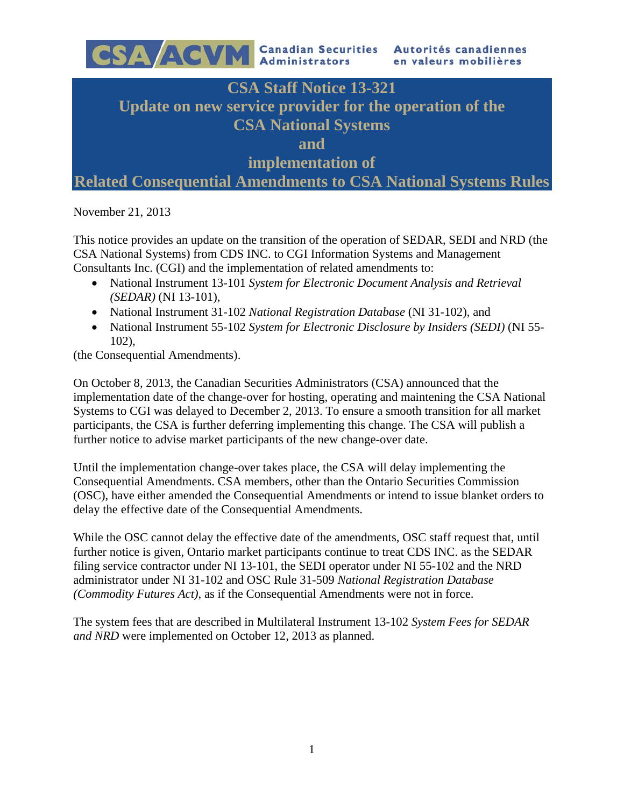

November 21, 2013

This notice provides an update on the transition of the operation of SEDAR, SEDI and NRD (the CSA National Systems) from CDS INC. to CGI Information Systems and Management Consultants Inc. (CGI) and the implementation of related amendments to:

- National Instrument 13-101 *System for Electronic Document Analysis and Retrieval (SEDAR)* (NI 13-101),
- National Instrument 31-102 *National Registration Database* (NI 31-102), and
- National Instrument 55-102 *System for Electronic Disclosure by Insiders (SEDI)* (NI 55- 102),

(the Consequential Amendments).

On October 8, 2013, the Canadian Securities Administrators (CSA) announced that the implementation date of the change-over for hosting, operating and maintening the CSA National Systems to CGI was delayed to December 2, 2013. To ensure a smooth transition for all market participants, the CSA is further deferring implementing this change. The CSA will publish a further notice to advise market participants of the new change-over date.

Until the implementation change-over takes place, the CSA will delay implementing the Consequential Amendments. CSA members, other than the Ontario Securities Commission (OSC), have either amended the Consequential Amendments or intend to issue blanket orders to delay the effective date of the Consequential Amendments.

While the OSC cannot delay the effective date of the amendments, OSC staff request that, until further notice is given, Ontario market participants continue to treat CDS INC. as the SEDAR filing service contractor under NI 13-101, the SEDI operator under NI 55-102 and the NRD administrator under NI 31-102 and OSC Rule 31-509 *National Registration Database (Commodity Futures Act)*, as if the Consequential Amendments were not in force.

The system fees that are described in Multilateral Instrument 13-102 *System Fees for SEDAR and NRD* were implemented on October 12, 2013 as planned.